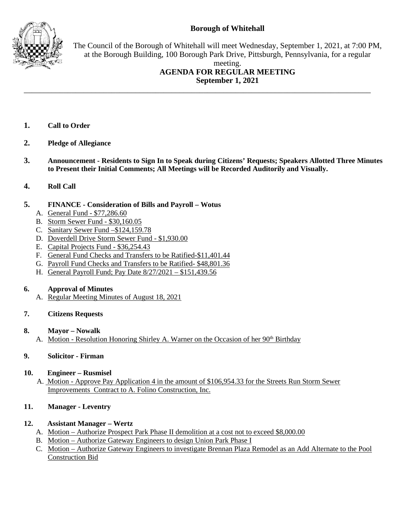# **Borough of Whitehall**



The Council of the Borough of Whitehall will meet Wednesday, September 1, 2021, at 7:00 PM, at the Borough Building, 100 Borough Park Drive, Pittsburgh, Pennsylvania, for a regular

### meeting. **AGENDA FOR REGULAR MEETING September 1, 2021**

- **1. Call to Order**
- **2. Pledge of Allegiance**
- **3. Announcement - Residents to Sign In to Speak during Citizens' Requests; Speakers Allotted Three Minutes to Present their Initial Comments; All Meetings will be Recorded Auditorily and Visually.**

\_\_\_\_\_\_\_\_\_\_\_\_\_\_\_\_\_\_\_\_\_\_\_\_\_\_\_\_\_\_\_\_\_\_\_\_\_\_\_\_\_\_\_\_\_\_\_\_\_\_\_\_\_\_\_\_\_\_\_\_\_\_\_\_\_\_\_\_\_\_\_\_\_\_\_\_\_\_\_\_\_\_\_\_\_\_\_

**4. Roll Call**

## **5. FINANCE - Consideration of Bills and Payroll – Wotus**

- A. General Fund \$77,286.60
- B. Storm Sewer Fund \$30,160.05
- C. Sanitary Sewer Fund –\$124,159.78
- D. Doverdell Drive Storm Sewer Fund \$1,930.00
- E. Capital Projects Fund \$36,254.43
- F. General Fund Checks and Transfers to be Ratified-\$11,401.44
- G. Payroll Fund Checks and Transfers to be Ratified- \$48,801.36
- H. General Payroll Fund; Pay Date 8/27/2021 \$151,439.56

## **6. Approval of Minutes**

A. Regular Meeting Minutes of August 18, 2021

## **7. Citizens Requests**

#### **8. Mayor – Nowalk**

A. Motion - Resolution Honoring Shirley A. Warner on the Occasion of her 90<sup>th</sup> Birthday

## **9. Solicitor - Firman**

#### **10. Engineer – Rusmisel**

 A. Motion - Approve Pay Application 4 in the amount of \$106,954.33 for the Streets Run Storm Sewer Improvements Contract to A. Folino Construction, Inc.

## **11. Manager - Leventry**

## **12. Assistant Manager – Wertz**

- A. Motion Authorize Prospect Park Phase II demolition at a cost not to exceed \$8,000.00
- B. Motion Authorize Gateway Engineers to design Union Park Phase I
- C. Motion Authorize Gateway Engineers to investigate Brennan Plaza Remodel as an Add Alternate to the Pool Construction Bid